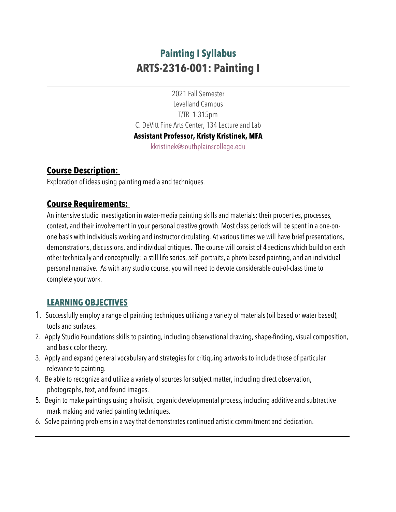# **Painting I Syllabus ARTS-2316-001: Painting I**

2021 Fall Semester Levelland Campus T/TR 1-315pm C. DeVitt Fine Arts Center, 134 Lecture and Lab **Assistant Professor, Kristy Kristinek, MFA** kkristinek@southplainscollege.edu

## **Course Description:**

Exploration of ideas using painting media and techniques.

## **Course Requirements:**

An intensive studio investigation in water-media painting skills and materials: their properties, processes, context, and their involvement in your personal creative growth. Most class periods will be spent in a one-onone basis with individuals working and instructor circulating. Atvarious times we will have brief presentations, demonstrations, discussions, and individual critiques. The course will consist of 4 sections which build on each other technically and conceptually: a still life series, self -portraits, a photo-based painting, and an individual personal narrative. As with any studio course, you will need to devote considerable out-of-class time to complete your work.

## **LEARNING OBJECTIVES**

- 1. Successfully employ a range of painting techniques utilizing a variety of materials (oil based or water based), tools and surfaces.
- 2. Apply Studio Foundations skills to painting, including observational drawing, shape-finding, visual composition, and basic color theory.
- 3. Apply and expand general vocabulary and strategies for critiquing artworks to include those of particular relevance to painting.
- 4. Be able to recognize and utilize a variety of sources for subject matter, including direct observation, photographs, text, and found images.
- 5. Begin to make paintings using a holistic, organic developmental process, including additive and subtractive mark making and varied painting techniques.
- 6. Solve painting problems in a waythat demonstrates continued artistic commitment and dedication.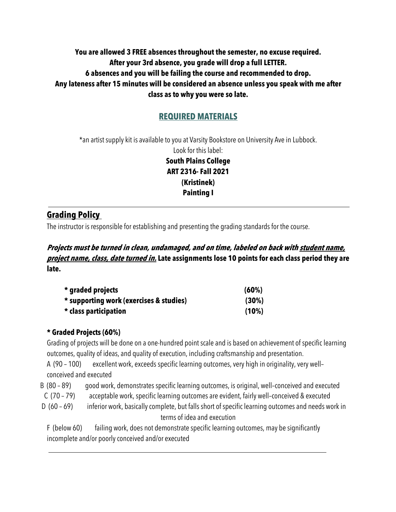### **You are allowed 3 FREE absences throughout the semester, no excuse required. After your 3rd absence, you grade will drop a full LETTER. 6 absences and you will be failing the course and recommended to drop. Any lateness after 15 minutes will be considered an absence unless you speak with me after class as to why you were so late.**

## **REQUIRED MATERIALS**

\*an artist supply kit is available to you at Varsity Bookstore on University Ave in Lubbock. Look for this label: **South Plains College ART 2316- Fall 2021 (Kristinek) Painting I**

## **Grading Policy**

The instructor is responsible for establishing and presenting the grading standards for the course.

### **Projects must be turned in clean, undamaged, and on time, labeled on back with student name, project name, class, date turned in. Late assignments lose 10 points for each class period they are late.**

| * graded projects                       | (60%) |
|-----------------------------------------|-------|
| * supporting work (exercises & studies) | (30%) |
| * class participation                   | (10%) |

#### **\* Graded Projects (60%)**

Grading of projects will be done on a one-hundred point scale and is based on achievement of specific learning outcomes, quality of ideas, and quality of execution, including craftsmanship and presentation.

A (90 – 100) excellent work, exceeds specific learning outcomes, very high in originality, very well– conceived and executed

B (80 – 89) good work, demonstrates specific learning outcomes, is original, well-conceived and executed

C (70 – 79) acceptable work, specific learning outcomes are evident, fairly well–conceived & executed

D (60 – 69) inferior work, basically complete, but falls short of specific learning outcomes and needs work in terms of idea and execution

F (below 60) failing work, does not demonstrate specific learning outcomes, may be significantly incomplete and/or poorly conceived and/or executed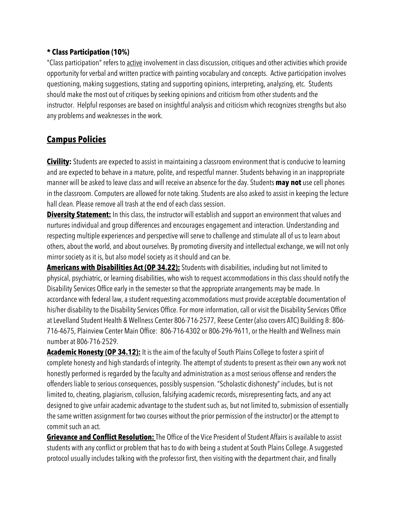#### **\* Class Participation (10%)**

"Class participation" refers to active involvement in class discussion, critiques and other activities which provide opportunityforverbal and written practice with painting vocabulary and concepts. Active participation involves questioning, making suggestions, stating and supporting opinions, interpreting, analyzing, etc. Students should make the most out of critiques byseeking opinions and criticism from other students and the instructor. Helpful responses are based on insightful analysis and criticism which recognizes strengths but also any problems and weaknesses in the work.

# **Campus Policies**

**Civility:** Students are expected to assist in maintaining a classroom environment that is conducive to learning and are expected to behave in a mature, polite, and respectful manner. Students behaving in an inappropriate manner will be asked to leave class and will receive an absence for the day. Students **may not** use cell phones in the classroom. Computers are allowed for note taking. Students are also asked to assist in keeping the lecture hall clean. Please remove all trash at the end of each class session.

**Diversity Statement:** In this class, the instructor will establish and support an environment that values and nurtures individual and group differences and encourages engagement and interaction. Understanding and respecting multiple experiences and perspective will serve to challenge and stimulate all of us to learn about others, about the world, and about ourselves. By promoting diversity and intellectual exchange, we will not only mirror society as it is, but also model society as it should and can be.

**Americans with Disabilities Act (OP 34.22):** Students with disabilities, including but not limited to physical, psychiatric, or learning disabilities, who wish to request accommodations in this class should notifythe Disability Services Office early in the semester so that the appropriate arrangements may be made. In accordance with federal law, a student requesting accommodations must provide acceptable documentation of his/her disability to the Disability Services Office. For more information, call or visit the Disability Services Office at Levelland Student Health & Wellness Center 806-716-2577, Reese Center (also covers ATC) Building 8: 806- 716-4675, Plainview Center Main Office: 806-716-4302 or 806-296-9611, or the Health and Wellness main number at 806-716-2529.

**Academic Honesty (OP 34.12):** It is the aim of the faculty of South Plains College to foster a spirit of complete honesty and high standards of integrity. The attempt of students to present as their own any work not honestly performed is regarded bythe faculty and administration as a most serious offense and renders the offenders liable to serious consequences, possiblysuspension. "Scholastic dishonesty" includes, but is not limited to, cheating, plagiarism, collusion, falsifying academic records, misrepresenting facts, and any act designed to give unfair academic advantage to the student such as, but not limited to, submission of essentially the same written assignment for two courses without the prior permission of the instructor) or the attempt to commit such an act.

**Grievance and Conflict Resolution:** The Office of the Vice President of Student Affairs is available to assist students with anyconflict or problem that has to do with being a student at South Plains College. A suggested protocol usually includes talking with the professor first, then visiting with the department chair, and finally